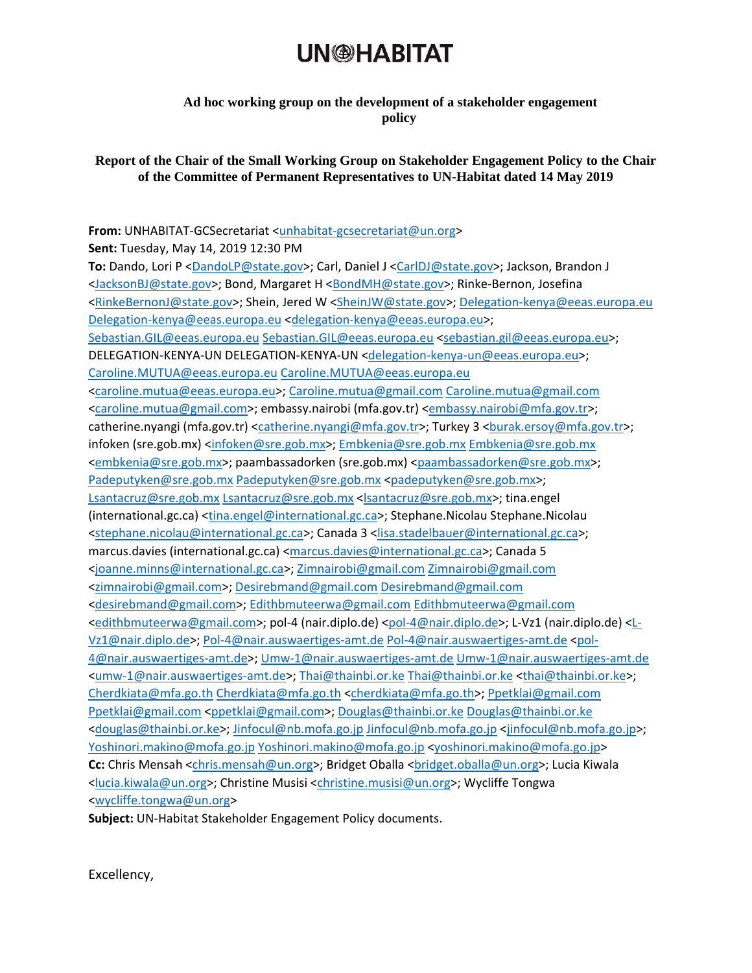### **UN<sup>®</sup>HABITAT**

#### **Ad hoc working group on the development of a stakeholder engagement policy**

### **Report of the Chair of the Small Working Group on Stakeholder Engagement Policy to the Chair of the Committee of Permanent Representatives to UN-Habitat dated 14 May 2019**

**From:** UNHABITAT-GCSecretariat [<unhabitat-gcsecretariat@un.org>](mailto:unhabitat-gcsecretariat@un.org) **Sent:** Tuesday, May 14, 2019 12:30 PM **To:** Dando, Lori P [<DandoLP@state.gov>](mailto:DandoLP@state.gov); Carl, Daniel J [<CarlDJ@state.gov>](mailto:CarlDJ@state.gov); Jackson, Brandon J [<JacksonBJ@state.gov>](mailto:JacksonBJ@state.gov); Bond, Margaret H [<BondMH@state.gov>](mailto:BondMH@state.gov); Rinke-Bernon, Josefina [<RinkeBernonJ@state.gov>](mailto:RinkeBernonJ@state.gov); Shein, Jered W [<SheinJW@state.gov>](mailto:SheinJW@state.gov); [Delegation-kenya@eeas.europa.eu](mailto:Delegation-kenya@eeas.europa.eu) [Delegation-kenya@eeas.europa.eu](mailto:Delegation-kenya@eeas.europa.eu) [<delegation-kenya@eeas.europa.eu>](mailto:delegation-kenya@eeas.europa.eu); [Sebastian.GIL@eeas.europa.eu](mailto:Sebastian.GIL@eeas.europa.eu) [Sebastian.GIL@eeas.europa.eu](mailto:Sebastian.GIL@eeas.europa.eu) [<sebastian.gil@eeas.europa.eu>](mailto:sebastian.gil@eeas.europa.eu); DELEGATION-KENYA-UN DELEGATION-KENYA-UN [<delegation-kenya-un@eeas.europa.eu>](mailto:delegation-kenya-un@eeas.europa.eu); [Caroline.MUTUA@eeas.europa.eu](mailto:Caroline.MUTUA@eeas.europa.eu) [Caroline.MUTUA@eeas.europa.eu](mailto:Caroline.MUTUA@eeas.europa.eu) [<caroline.mutua@eeas.europa.eu>](mailto:caroline.mutua@eeas.europa.eu); [Caroline.mutua@gmail.com](mailto:Caroline.mutua@gmail.com) [Caroline.mutua@gmail.com](mailto:Caroline.mutua@gmail.com) [<caroline.mutua@gmail.com>](mailto:caroline.mutua@gmail.com); embassy.nairobi (mfa.gov.tr) [<embassy.nairobi@mfa.gov.tr>](mailto:embassy.nairobi@mfa.gov.tr); catherine.nyangi (mfa.gov.tr) [<catherine.nyangi@mfa.gov.tr>](mailto:catherine.nyangi@mfa.gov.tr); Turkey 3 <br/> <br/>burak.ersoy@mfa.gov.tr>; infoken (sre.gob.mx) [<infoken@sre.gob.mx>](mailto:infoken@sre.gob.mx); [Embkenia@sre.gob.mx](mailto:Embkenia@sre.gob.mx) [Embkenia@sre.gob.mx](mailto:Embkenia@sre.gob.mx) [<embkenia@sre.gob.mx>](mailto:embkenia@sre.gob.mx); paambassadorken (sre.gob.mx) [<paambassadorken@sre.gob.mx>](mailto:paambassadorken@sre.gob.mx); [Padeputyken@sre.gob.mx](mailto:Padeputyken@sre.gob.mx) Padeputyken@sre.gob.mx [<padeputyken@sre.gob.mx>](mailto:padeputyken@sre.gob.mx); [Lsantacruz@sre.gob.mx](mailto:Lsantacruz@sre.gob.mx) [Lsantacruz@sre.gob.mx](mailto:Lsantacruz@sre.gob.mx) [<lsantacruz@sre.gob.mx>](mailto:lsantacruz@sre.gob.mx); tina.engel (international.gc.ca) [<tina.engel@international.gc.ca>](mailto:tina.engel@international.gc.ca); Stephane.Nicolau Stephane.Nicolau [<stephane.nicolau@international.gc.ca>](mailto:stephane.nicolau@international.gc.ca); Canada 3 [<lisa.stadelbauer@international.gc.ca>](mailto:lisa.stadelbauer@international.gc.ca); marcus.davies (international.gc.ca) [<marcus.davies@international.gc.ca>](mailto:marcus.davies@international.gc.ca); Canada 5 [<joanne.minns@international.gc.ca>](mailto:joanne.minns@international.gc.ca); [Zimnairobi@gmail.com](mailto:Zimnairobi@gmail.com) [Zimnairobi@gmail.com](mailto:Zimnairobi@gmail.com) [<zimnairobi@gmail.com>](mailto:zimnairobi@gmail.com)[; Desirebmand@gmail.com](mailto:Desirebmand@gmail.com) [Desirebmand@gmail.com](mailto:Desirebmand@gmail.com) [<desirebmand@gmail.com>](mailto:desirebmand@gmail.com); [Edithbmuteerwa@gmail.com](mailto:Edithbmuteerwa@gmail.com) [Edithbmuteerwa@gmail.com](mailto:Edithbmuteerwa@gmail.com) [<edithbmuteerwa@gmail.com>](mailto:edithbmuteerwa@gmail.com); pol-4 (nair.diplo.de) [<pol-4@nair.diplo.de>](mailto:pol-4@nair.diplo.de); L-Vz1 (nair.diplo.de) [<L-](mailto:L-Vz1@nair.diplo.de)[Vz1@nair.diplo.de>](mailto:L-Vz1@nair.diplo.de); [Pol-4@nair.auswaertiges-amt.de](mailto:Pol-4@nair.auswaertiges-amt.de) [Pol-4@nair.auswaertiges-amt.de](mailto:Pol-4@nair.auswaertiges-amt.de) [<pol-](mailto:pol-4@nair.auswaertiges-amt.de)[4@nair.auswaertiges-amt.de>](mailto:pol-4@nair.auswaertiges-amt.de)[; Umw-1@nair.auswaertiges-amt.de](mailto:Umw-1@nair.auswaertiges-amt.de) [Umw-1@nair.auswaertiges-amt.de](mailto:Umw-1@nair.auswaertiges-amt.de) [<umw-1@nair.auswaertiges-amt.de>](mailto:umw-1@nair.auswaertiges-amt.de); [Thai@thainbi.or.ke](mailto:Thai@thainbi.or.ke) [Thai@thainbi.or.ke](mailto:Thai@thainbi.or.ke) [<thai@thainbi.or.ke>](mailto:thai@thainbi.or.ke); [Cherdkiata@mfa.go.th](mailto:Cherdkiata@mfa.go.th) [Cherdkiata@mfa.go.th](mailto:Cherdkiata@mfa.go.th) [<cherdkiata@mfa.go.th>](mailto:cherdkiata@mfa.go.th); [Ppetklai@gmail.com](mailto:Ppetklai@gmail.com) [Ppetklai@gmail.com](mailto:Ppetklai@gmail.com) [<ppetklai@gmail.com>](mailto:ppetklai@gmail.com); [Douglas@thainbi.or.ke](mailto:Douglas@thainbi.or.ke) [Douglas@thainbi.or.ke](mailto:Douglas@thainbi.or.ke) [<douglas@thainbi.or.ke>](mailto:douglas@thainbi.or.ke); [Jinfocul@nb.mofa.go.jp](mailto:Jinfocul@nb.mofa.go.jp) [Jinfocul@nb.mofa.go.jp](mailto:Jinfocul@nb.mofa.go.jp) [<jinfocul@nb.mofa.go.jp>](mailto:jinfocul@nb.mofa.go.jp); [Yoshinori.makino@mofa.go.jp](mailto:Yoshinori.makino@mofa.go.jp) [Yoshinori.makino@mofa.go.jp](mailto:Yoshinori.makino@mofa.go.jp) [<yoshinori.makino@mofa.go.jp>](mailto:yoshinori.makino@mofa.go.jp) **Cc:** Chris Mensah [<chris.mensah@un.org>](mailto:chris.mensah@un.org); Bridget Oballa <br/> <br/>det.oballa@un.org>; Lucia Kiwala [<lucia.kiwala@un.org>](mailto:lucia.kiwala@un.org); Christine Musisi [<christine.musisi@un.org>](mailto:christine.musisi@un.org); Wycliffe Tongwa [<wycliffe.tongwa@un.org>](mailto:wycliffe.tongwa@un.org)

**Subject:** UN-Habitat Stakeholder Engagement Policy documents.

Excellency,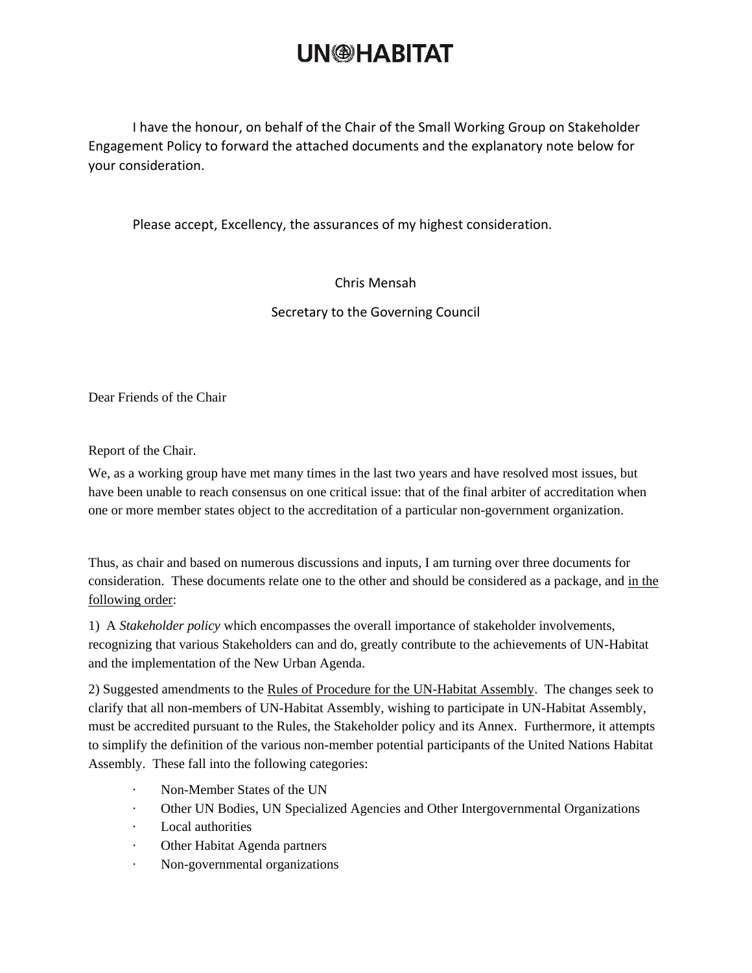## **UN<sup>®</sup>HABITAT**

I have the honour, on behalf of the Chair of the Small Working Group on Stakeholder Engagement Policy to forward the attached documents and the explanatory note below for your consideration.

Please accept, Excellency, the assurances of my highest consideration.

### Chris Mensah

Secretary to the Governing Council

Dear Friends of the Chair

Report of the Chair.

We, as a working group have met many times in the last two years and have resolved most issues, but have been unable to reach consensus on one critical issue: that of the final arbiter of accreditation when one or more member states object to the accreditation of a particular non-government organization.

Thus, as chair and based on numerous discussions and inputs, I am turning over three documents for consideration. These documents relate one to the other and should be considered as a package, and in the following order:

1) A *Stakeholder policy* which encompasses the overall importance of stakeholder involvements, recognizing that various Stakeholders can and do, greatly contribute to the achievements of UN-Habitat and the implementation of the New Urban Agenda.

2) Suggested amendments to the Rules of Procedure for the UN-Habitat Assembly. The changes seek to clarify that all non-members of UN-Habitat Assembly, wishing to participate in UN-Habitat Assembly, must be accredited pursuant to the Rules, the Stakeholder policy and its Annex. Furthermore, it attempts to simplify the definition of the various non-member potential participants of the United Nations Habitat Assembly. These fall into the following categories:

- · Non-Member States of the UN
- · Other UN Bodies, UN Specialized Agencies and Other Intergovernmental Organizations
- · Local authorities
- · Other Habitat Agenda partners
- · Non-governmental organizations